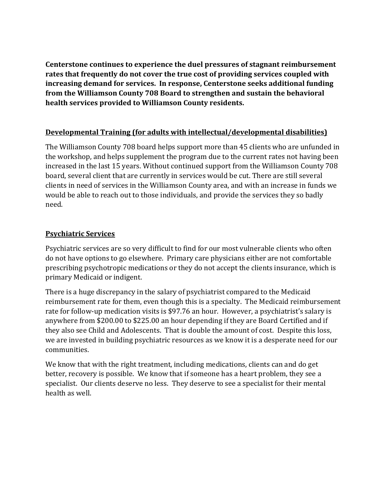**Centerstone continues to experience the duel pressures of stagnant reimbursement rates that frequently do not cover the true cost of providing services coupled with increasing demand for services. In response, Centerstone seeks additional funding from the Williamson County 708 Board to strengthen and sustain the behavioral health services provided to Williamson County residents.**

## **Developmental Training (for adults with intellectual/developmental disabilities)**

The Williamson County 708 board helps support more than 45 clients who are unfunded in the workshop, and helps supplement the program due to the current rates not having been increased in the last 15 years. Without continued support from the Williamson County 708 board, several client that are currently in services would be cut. There are still several clients in need of services in the Williamson County area, and with an increase in funds we would be able to reach out to those individuals, and provide the services they so badly need.

## **Psychiatric Services**

Psychiatric services are so very difficult to find for our most vulnerable clients who often do not have options to go elsewhere. Primary care physicians either are not comfortable prescribing psychotropic medications or they do not accept the clients insurance, which is primary Medicaid or indigent.

There is a huge discrepancy in the salary of psychiatrist compared to the Medicaid reimbursement rate for them, even though this is a specialty. The Medicaid reimbursement rate for follow-up medication visits is \$97.76 an hour. However, a psychiatrist's salary is anywhere from \$200.00 to \$225.00 an hour depending if they are Board Certified and if they also see Child and Adolescents. That is double the amount of cost. Despite this loss, we are invested in building psychiatric resources as we know it is a desperate need for our communities.

We know that with the right treatment, including medications, clients can and do get better, recovery is possible. We know that if someone has a heart problem, they see a specialist. Our clients deserve no less. They deserve to see a specialist for their mental health as well.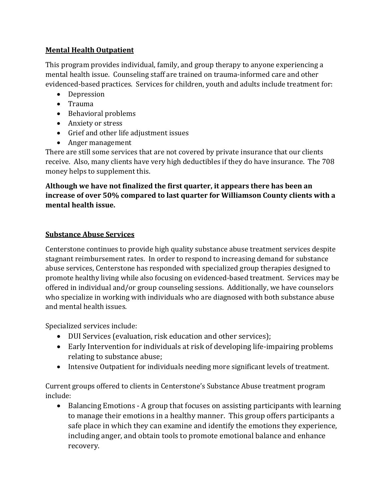# **Mental Health Outpatient**

This program provides individual, family, and group therapy to anyone experiencing a mental health issue. Counseling staff are trained on trauma-informed care and other evidenced-based practices. Services for children, youth and adults include treatment for:

- Depression
- Trauma
- Behavioral problems
- Anxiety or stress
- Grief and other life adjustment issues
- Anger management

There are still some services that are not covered by private insurance that our clients receive. Also, many clients have very high deductibles if they do have insurance. The 708 money helps to supplement this.

# **Although we have not finalized the first quarter, it appears there has been an increase of over 50% compared to last quarter for Williamson County clients with a mental health issue.**

# **Substance Abuse Services**

Centerstone continues to provide high quality substance abuse treatment services despite stagnant reimbursement rates. In order to respond to increasing demand for substance abuse services, Centerstone has responded with specialized group therapies designed to promote healthy living while also focusing on evidenced-based treatment. Services may be offered in individual and/or group counseling sessions. Additionally, we have counselors who specialize in working with individuals who are diagnosed with both substance abuse and mental health issues.

Specialized services include:

- DUI Services (evaluation, risk education and other services);
- Early Intervention for individuals at risk of developing life-impairing problems relating to substance abuse;
- Intensive Outpatient for individuals needing more significant levels of treatment.

Current groups offered to clients in Centerstone's Substance Abuse treatment program include:

• Balancing Emotions - A group that focuses on assisting participants with learning to manage their emotions in a healthy manner. This group offers participants a safe place in which they can examine and identify the emotions they experience, including anger, and obtain tools to promote emotional balance and enhance recovery.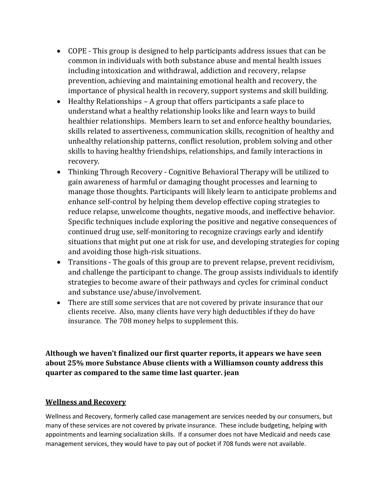- COPE This group is designed to help participants address issues that can be common in individuals with both substance abuse and mental health issues including intoxication and withdrawal, addiction and recovery, relapse prevention, achieving and maintaining emotional health and recovery, the importance of physical health in recovery, support systems and skill building.
- Healthy Relationships A group that offers participants a safe place to understand what a healthy relationship looks like and learn ways to build healthier relationships. Members learn to set and enforce healthy boundaries, skills related to assertiveness, communication skills, recognition of healthy and unhealthy relationship patterns, conflict resolution, problem solving and other skills to having healthy friendships, relationships, and family interactions in recovery.
- Thinking Through Recovery Cognitive Behavioral Therapy will be utilized to gain awareness of harmful or damaging thought processes and learning to manage those thoughts. Participants will likely learn to anticipate problems and enhance self-control by helping them develop effective coping strategies to reduce relapse, unwelcome thoughts, negative moods, and ineffective behavior. Specific techniques include exploring the positive and negative consequences of continued drug use, self-monitoring to recognize cravings early and identify situations that might put one at risk for use, and developing strategies for coping and avoiding those high-risk situations.
- Transitions The goals of this group are to prevent relapse, prevent recidivism, and challenge the participant to change. The group assists individuals to identify strategies to become aware of their pathways and cycles for criminal conduct and substance use/abuse/involvement.
- There are still some services that are not covered by private insurance that our clients receive. Also, many clients have very high deductibles if they do have insurance. The 708 money helps to supplement this.

**Although we haven't finalized our first quarter reports, it appears we have seen about 25% more Substance Abuse clients with a Williamson county address this quarter as compared to the same time last quarter. jean**

#### **Wellness and Recovery**

Wellness and Recovery, formerly called case management are services needed by our consumers, but many of these services are not covered by private insurance. These include budgeting, helping with appointments and learning socialization skills. If a consumer does not have Medicaid and needs case management services, they would have to pay out of pocket if 708 funds were not available.